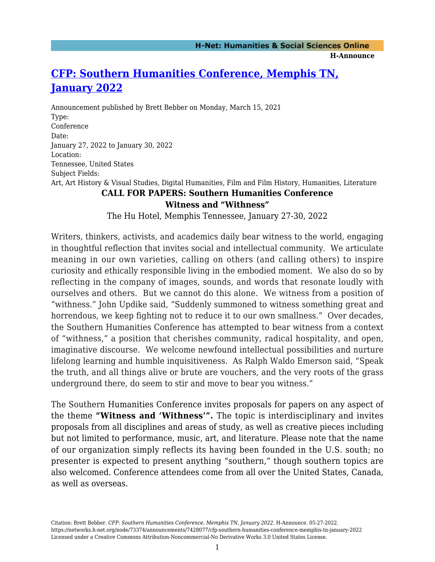**H-Announce** 

## **[CFP: Southern Humanities Conference, Memphis TN,](https://networks.h-net.org/node/73374/announcements/7428077/cfp-southern-humanities-conference-memphis-tn-january-2022) [January 2022](https://networks.h-net.org/node/73374/announcements/7428077/cfp-southern-humanities-conference-memphis-tn-january-2022)**

Announcement published by Brett Bebber on Monday, March 15, 2021 Type: Conference Date: January 27, 2022 to January 30, 2022 Location: Tennessee, United States Subject Fields: Art, Art History & Visual Studies, Digital Humanities, Film and Film History, Humanities, Literature **CALL FOR PAPERS: Southern Humanities Conference Witness and "Withness"**

The Hu Hotel, Memphis Tennessee, January 27-30, 2022

Writers, thinkers, activists, and academics daily bear witness to the world, engaging in thoughtful reflection that invites social and intellectual community. We articulate meaning in our own varieties, calling on others (and calling others) to inspire curiosity and ethically responsible living in the embodied moment. We also do so by reflecting in the company of images, sounds, and words that resonate loudly with ourselves and others. But we cannot do this alone. We witness from a position of "withness." John Updike said, "Suddenly summoned to witness something great and horrendous, we keep fighting not to reduce it to our own smallness." Over decades, the Southern Humanities Conference has attempted to bear witness from a context of "withness," a position that cherishes community, radical hospitality, and open, imaginative discourse. We welcome newfound intellectual possibilities and nurture lifelong learning and humble inquisitiveness. As Ralph Waldo Emerson said, "Speak the truth, and all things alive or brute are vouchers, and the very roots of the grass underground there, do seem to stir and move to bear you witness."

The Southern Humanities Conference invites proposals for papers on any aspect of the theme **"Witness and 'Withness'".** The topic is interdisciplinary and invites proposals from all disciplines and areas of study, as well as creative pieces including but not limited to performance, music, art, and literature. Please note that the name of our organization simply reflects its having been founded in the U.S. south; no presenter is expected to present anything "southern," though southern topics are also welcomed. Conference attendees come from all over the United States, Canada, as well as overseas.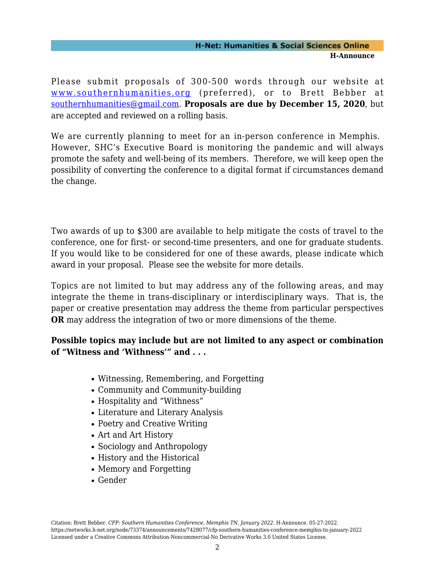## **H-Net: Humanities & Social Sciences Online H-Announce**

Please submit proposals of 300-500 words through our website at [www.southernhumanities.org](http://www.southernhumanities.org) (preferred), or to Brett Bebber at [southernhumanities@gmail.com](mailto:southernhumanities@gmail.com). **Proposals are due by December 15, 2020**, but are accepted and reviewed on a rolling basis.

We are currently planning to meet for an in-person conference in Memphis. However, SHC's Executive Board is monitoring the pandemic and will always promote the safety and well-being of its members. Therefore, we will keep open the possibility of converting the conference to a digital format if circumstances demand the change.

Two awards of up to \$300 are available to help mitigate the costs of travel to the conference, one for first- or second-time presenters, and one for graduate students. If you would like to be considered for one of these awards, please indicate which award in your proposal. Please see the website for more details.

Topics are not limited to but may address any of the following areas, and may integrate the theme in trans-disciplinary or interdisciplinary ways. That is, the paper or creative presentation may address the theme from particular perspectives **OR** may address the integration of two or more dimensions of the theme.

## **Possible topics may include but are not limited to any aspect or combination of "Witness and 'Withness'" and . . .**

- Witnessing, Remembering, and Forgetting
- Community and Community-building
- Hospitality and "Withness"
- Literature and Literary Analysis
- Poetry and Creative Writing
- Art and Art History
- Sociology and Anthropology
- History and the Historical
- Memory and Forgetting
- Gender